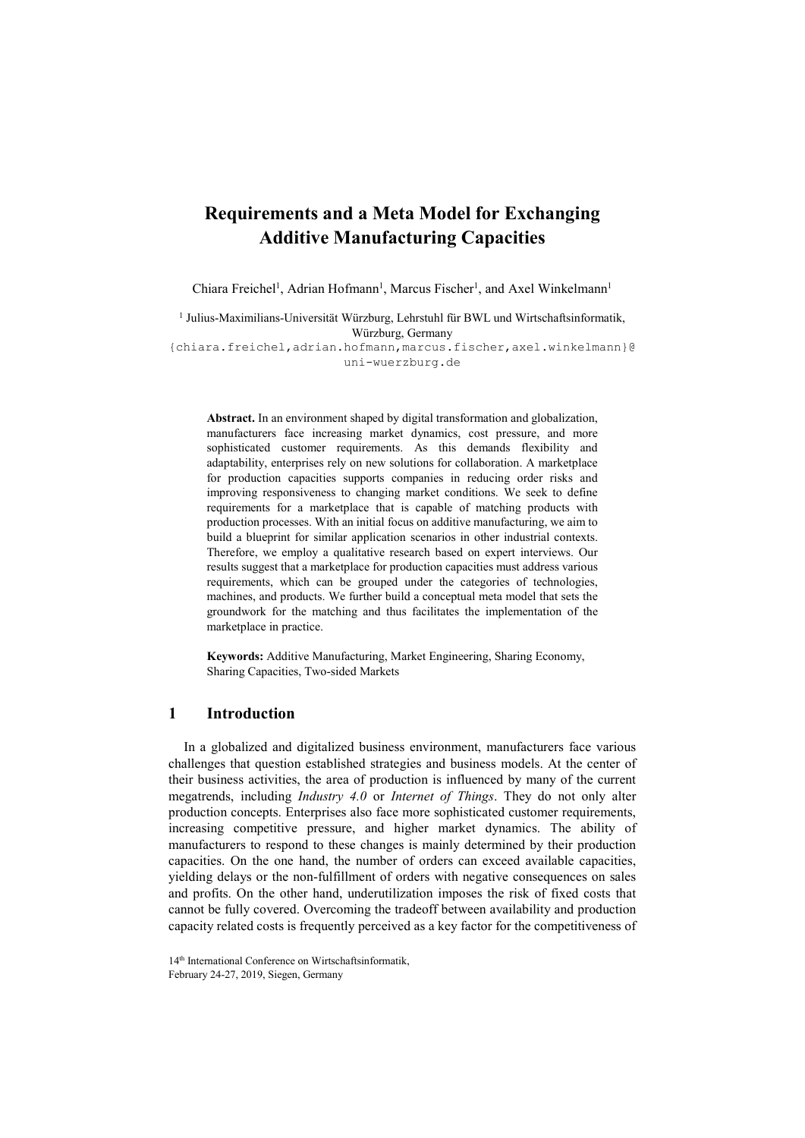# Requirements and a Meta Model for Exchanging Additive Manufacturing Capacities

Chiara Freichel<sup>1</sup>, Adrian Hofmann<sup>1</sup>, Marcus Fischer<sup>1</sup>, and Axel Winkelmann<sup>1</sup>

<sup>1</sup> Julius-Maximilians-Universität Würzburg, Lehrstuhl für BWL und Wirtschaftsinformatik, Würzburg, Germany

{chiara.freichel,adrian.hofmann,marcus.fischer,axel.winkelmann}@ uni-wuerzburg.de

Abstract. In an environment shaped by digital transformation and globalization, manufacturers face increasing market dynamics, cost pressure, and more sophisticated customer requirements. As this demands flexibility and adaptability, enterprises rely on new solutions for collaboration. A marketplace for production capacities supports companies in reducing order risks and improving responsiveness to changing market conditions. We seek to define requirements for a marketplace that is capable of matching products with production processes. With an initial focus on additive manufacturing, we aim to build a blueprint for similar application scenarios in other industrial contexts. Therefore, we employ a qualitative research based on expert interviews. Our results suggest that a marketplace for production capacities must address various requirements, which can be grouped under the categories of technologies, machines, and products. We further build a conceptual meta model that sets the groundwork for the matching and thus facilitates the implementation of the marketplace in practice.

Keywords: Additive Manufacturing, Market Engineering, Sharing Economy, Sharing Capacities, Two-sided Markets

## 1 Introduction

In a globalized and digitalized business environment, manufacturers face various challenges that question established strategies and business models. At the center of their business activities, the area of production is influenced by many of the current megatrends, including *Industry 4.0* or *Internet of Things*. They do not only alter production concepts. Enterprises also face more sophisticated customer requirements, increasing competitive pressure, and higher market dynamics. The ability of manufacturers to respond to these changes is mainly determined by their production capacities. On the one hand, the number of orders can exceed available capacities, yielding delays or the non-fulfillment of orders with negative consequences on sales and profits. On the other hand, underutilization imposes the risk of fixed costs that cannot be fully covered. Overcoming the tradeoff between availability and production capacity related costs is frequently perceived as a key factor for the competitiveness of

<sup>14&</sup>lt;sup>th</sup> International Conference on Wirtschaftsinformatik, February 24-27, 2019, Siegen, Germany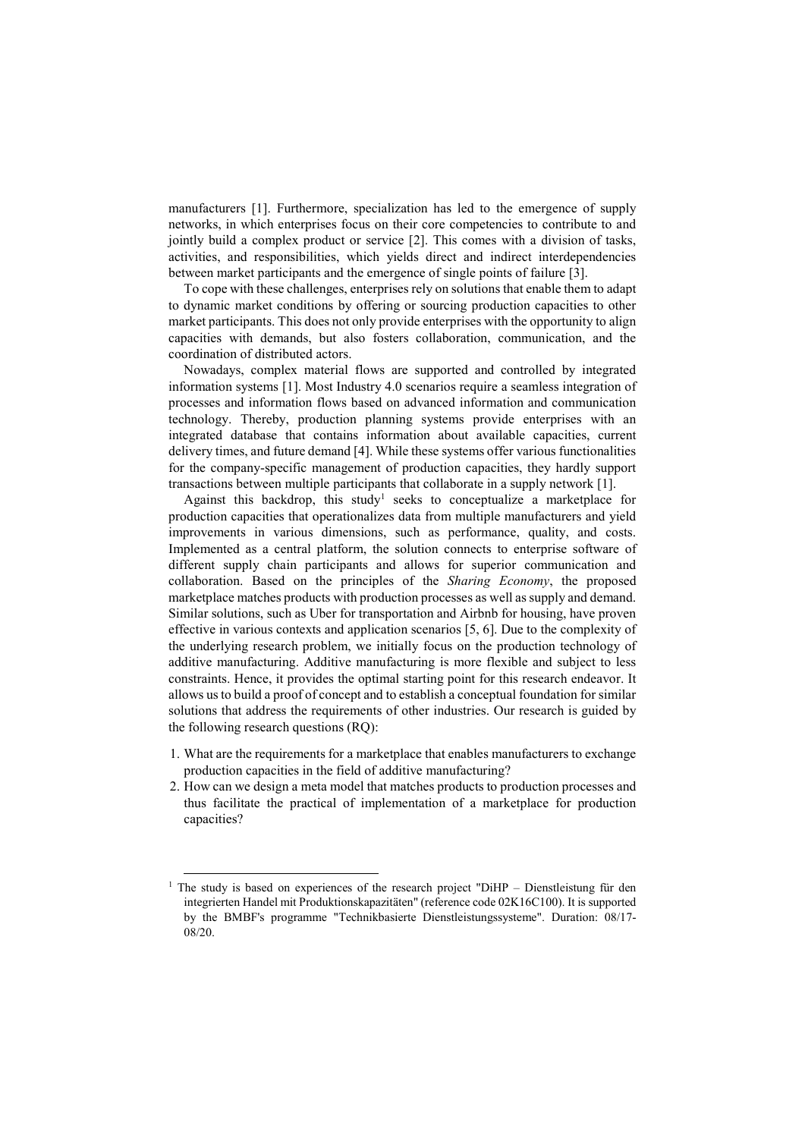manufacturers [1]. Furthermore, specialization has led to the emergence of supply networks, in which enterprises focus on their core competencies to contribute to and jointly build a complex product or service [2]. This comes with a division of tasks, activities, and responsibilities, which yields direct and indirect interdependencies between market participants and the emergence of single points of failure [3].

To cope with these challenges, enterprises rely on solutions that enable them to adapt to dynamic market conditions by offering or sourcing production capacities to other market participants. This does not only provide enterprises with the opportunity to align capacities with demands, but also fosters collaboration, communication, and the coordination of distributed actors.

Nowadays, complex material flows are supported and controlled by integrated information systems [1]. Most Industry 4.0 scenarios require a seamless integration of processes and information flows based on advanced information and communication technology. Thereby, production planning systems provide enterprises with an integrated database that contains information about available capacities, current delivery times, and future demand [4]. While these systems offer various functionalities for the company-specific management of production capacities, they hardly support transactions between multiple participants that collaborate in a supply network [1].

Against this backdrop, this study<sup>1</sup> seeks to conceptualize a marketplace for production capacities that operationalizes data from multiple manufacturers and yield improvements in various dimensions, such as performance, quality, and costs. Implemented as a central platform, the solution connects to enterprise software of different supply chain participants and allows for superior communication and collaboration. Based on the principles of the Sharing Economy, the proposed marketplace matches products with production processes as well as supply and demand. Similar solutions, such as Uber for transportation and Airbnb for housing, have proven effective in various contexts and application scenarios [5, 6]. Due to the complexity of the underlying research problem, we initially focus on the production technology of additive manufacturing. Additive manufacturing is more flexible and subject to less constraints. Hence, it provides the optimal starting point for this research endeavor. It allows us to build a proof of concept and to establish a conceptual foundation for similar solutions that address the requirements of other industries. Our research is guided by the following research questions (RQ):

- 1. What are the requirements for a marketplace that enables manufacturers to exchange production capacities in the field of additive manufacturing?
- 2. How can we design a meta model that matches products to production processes and thus facilitate the practical of implementation of a marketplace for production capacities?

-

<sup>&</sup>lt;sup>1</sup> The study is based on experiences of the research project "DiHP – Dienstleistung für den integrierten Handel mit Produktionskapazitäten" (reference code 02K16C100). It is supported by the BMBF's programme "Technikbasierte Dienstleistungssysteme". Duration: 08/17- 08/20.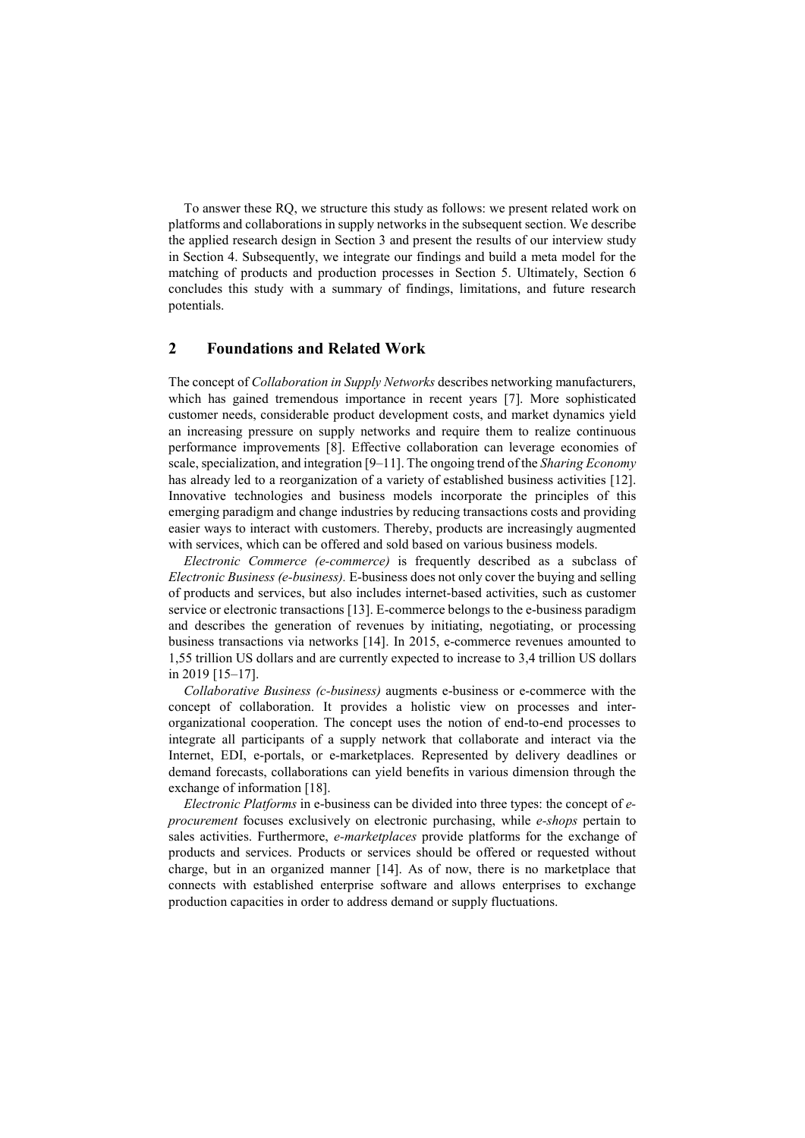To answer these RQ, we structure this study as follows: we present related work on platforms and collaborations in supply networks in the subsequent section. We describe the applied research design in Section 3 and present the results of our interview study in Section 4. Subsequently, we integrate our findings and build a meta model for the matching of products and production processes in Section 5. Ultimately, Section 6 concludes this study with a summary of findings, limitations, and future research potentials.

# 2 Foundations and Related Work

The concept of Collaboration in Supply Networks describes networking manufacturers, which has gained tremendous importance in recent years [7]. More sophisticated customer needs, considerable product development costs, and market dynamics yield an increasing pressure on supply networks and require them to realize continuous performance improvements [8]. Effective collaboration can leverage economies of scale, specialization, and integration [9-11]. The ongoing trend of the Sharing Economy has already led to a reorganization of a variety of established business activities [12]. Innovative technologies and business models incorporate the principles of this emerging paradigm and change industries by reducing transactions costs and providing easier ways to interact with customers. Thereby, products are increasingly augmented with services, which can be offered and sold based on various business models.

Electronic Commerce (e-commerce) is frequently described as a subclass of Electronic Business (e-business). E-business does not only cover the buying and selling of products and services, but also includes internet-based activities, such as customer service or electronic transactions [13]. E-commerce belongs to the e-business paradigm and describes the generation of revenues by initiating, negotiating, or processing business transactions via networks [14]. In 2015, e-commerce revenues amounted to 1,55 trillion US dollars and are currently expected to increase to 3,4 trillion US dollars in 2019 [15–17].

Collaborative Business (c-business) augments e-business or e-commerce with the concept of collaboration. It provides a holistic view on processes and interorganizational cooperation. The concept uses the notion of end-to-end processes to integrate all participants of a supply network that collaborate and interact via the Internet, EDI, e-portals, or e-marketplaces. Represented by delivery deadlines or demand forecasts, collaborations can yield benefits in various dimension through the exchange of information [18].

Electronic Platforms in e-business can be divided into three types: the concept of eprocurement focuses exclusively on electronic purchasing, while e-shops pertain to sales activities. Furthermore, *e-marketplaces* provide platforms for the exchange of products and services. Products or services should be offered or requested without charge, but in an organized manner [14]. As of now, there is no marketplace that connects with established enterprise software and allows enterprises to exchange production capacities in order to address demand or supply fluctuations.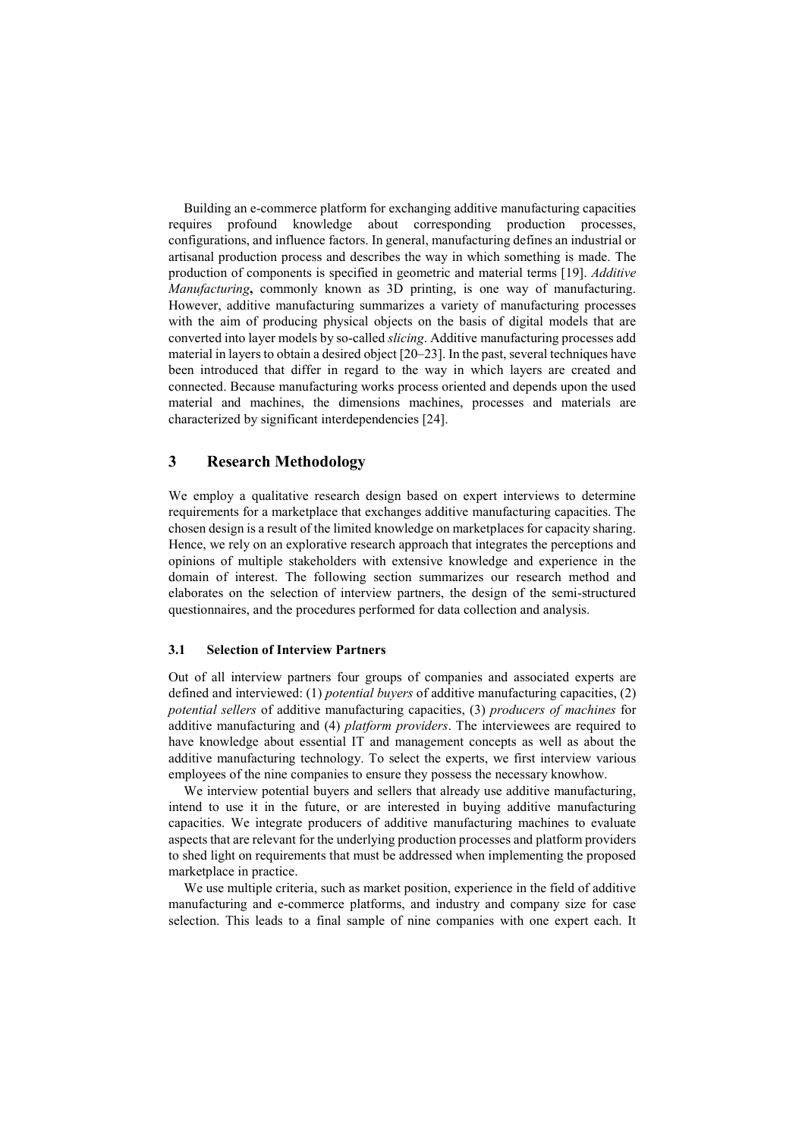Building an e-commerce platform for exchanging additive manufacturing capacities requires profound knowledge about corresponding production processes, configurations, and influence factors. In general, manufacturing defines an industrial or artisanal production process and describes the way in which something is made. The production of components is specified in geometric and material terms [19]. Additive Manufacturing, commonly known as 3D printing, is one way of manufacturing. However, additive manufacturing summarizes a variety of manufacturing processes with the aim of producing physical objects on the basis of digital models that are converted into layer models by so-called slicing. Additive manufacturing processes add material in layers to obtain a desired object [20–23]. In the past, several techniques have been introduced that differ in regard to the way in which layers are created and connected. Because manufacturing works process oriented and depends upon the used material and machines, the dimensions machines, processes and materials are characterized by significant interdependencies [24].

### 3 Research Methodology

We employ a qualitative research design based on expert interviews to determine requirements for a marketplace that exchanges additive manufacturing capacities. The chosen design is a result of the limited knowledge on marketplaces for capacity sharing. Hence, we rely on an explorative research approach that integrates the perceptions and opinions of multiple stakeholders with extensive knowledge and experience in the domain of interest. The following section summarizes our research method and elaborates on the selection of interview partners, the design of the semi-structured questionnaires, and the procedures performed for data collection and analysis.

#### 3.1 Selection of Interview Partners

Out of all interview partners four groups of companies and associated experts are defined and interviewed: (1) potential buyers of additive manufacturing capacities, (2) potential sellers of additive manufacturing capacities, (3) producers of machines for additive manufacturing and (4) platform providers. The interviewees are required to have knowledge about essential IT and management concepts as well as about the additive manufacturing technology. To select the experts, we first interview various employees of the nine companies to ensure they possess the necessary knowhow.

We interview potential buyers and sellers that already use additive manufacturing, intend to use it in the future, or are interested in buying additive manufacturing capacities. We integrate producers of additive manufacturing machines to evaluate aspects that are relevant for the underlying production processes and platform providers to shed light on requirements that must be addressed when implementing the proposed marketplace in practice.

We use multiple criteria, such as market position, experience in the field of additive manufacturing and e-commerce platforms, and industry and company size for case selection. This leads to a final sample of nine companies with one expert each. It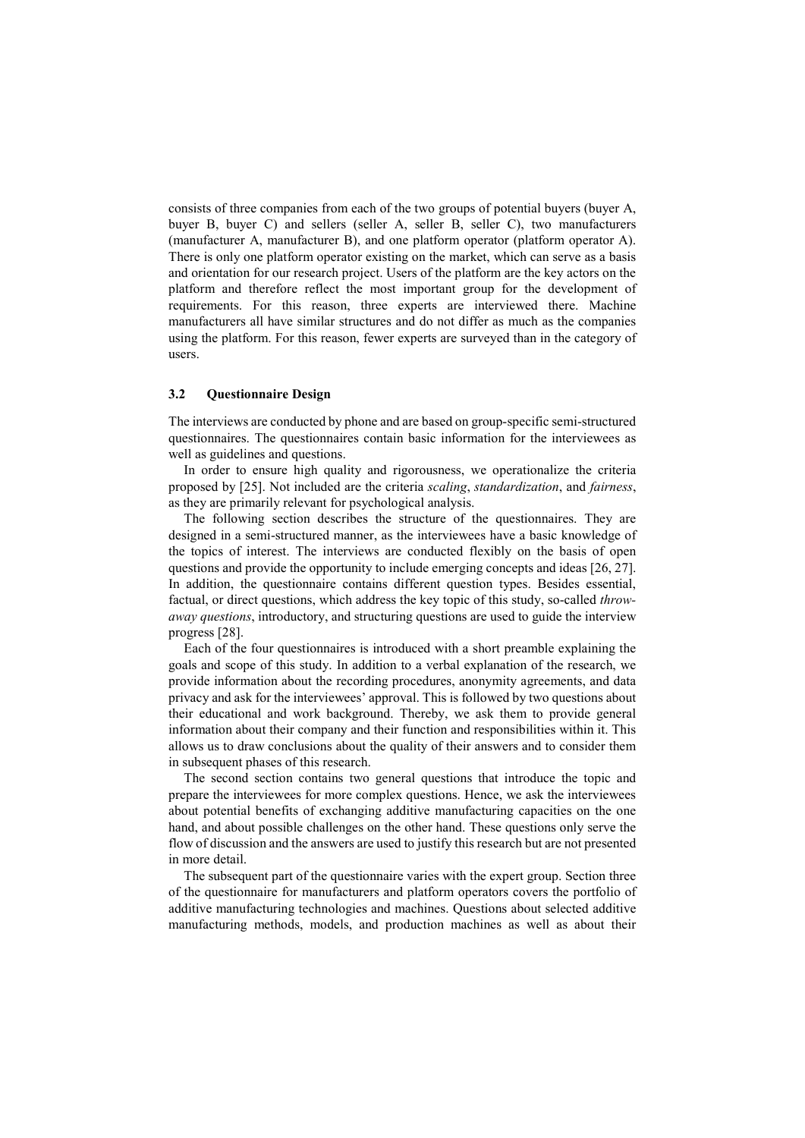consists of three companies from each of the two groups of potential buyers (buyer A, buyer B, buyer C) and sellers (seller A, seller B, seller C), two manufacturers (manufacturer A, manufacturer B), and one platform operator (platform operator A). There is only one platform operator existing on the market, which can serve as a basis and orientation for our research project. Users of the platform are the key actors on the platform and therefore reflect the most important group for the development of requirements. For this reason, three experts are interviewed there. Machine manufacturers all have similar structures and do not differ as much as the companies using the platform. For this reason, fewer experts are surveyed than in the category of users.

#### 3.2 Questionnaire Design

The interviews are conducted by phone and are based on group-specific semi-structured questionnaires. The questionnaires contain basic information for the interviewees as well as guidelines and questions.

In order to ensure high quality and rigorousness, we operationalize the criteria proposed by [25]. Not included are the criteria scaling, standardization, and fairness, as they are primarily relevant for psychological analysis.

The following section describes the structure of the questionnaires. They are designed in a semi-structured manner, as the interviewees have a basic knowledge of the topics of interest. The interviews are conducted flexibly on the basis of open questions and provide the opportunity to include emerging concepts and ideas [26, 27]. In addition, the questionnaire contains different question types. Besides essential, factual, or direct questions, which address the key topic of this study, so-called throwaway questions, introductory, and structuring questions are used to guide the interview progress [28].

Each of the four questionnaires is introduced with a short preamble explaining the goals and scope of this study. In addition to a verbal explanation of the research, we provide information about the recording procedures, anonymity agreements, and data privacy and ask for the interviewees' approval. This is followed by two questions about their educational and work background. Thereby, we ask them to provide general information about their company and their function and responsibilities within it. This allows us to draw conclusions about the quality of their answers and to consider them in subsequent phases of this research.

The second section contains two general questions that introduce the topic and prepare the interviewees for more complex questions. Hence, we ask the interviewees about potential benefits of exchanging additive manufacturing capacities on the one hand, and about possible challenges on the other hand. These questions only serve the flow of discussion and the answers are used to justify this research but are not presented in more detail.

The subsequent part of the questionnaire varies with the expert group. Section three of the questionnaire for manufacturers and platform operators covers the portfolio of additive manufacturing technologies and machines. Questions about selected additive manufacturing methods, models, and production machines as well as about their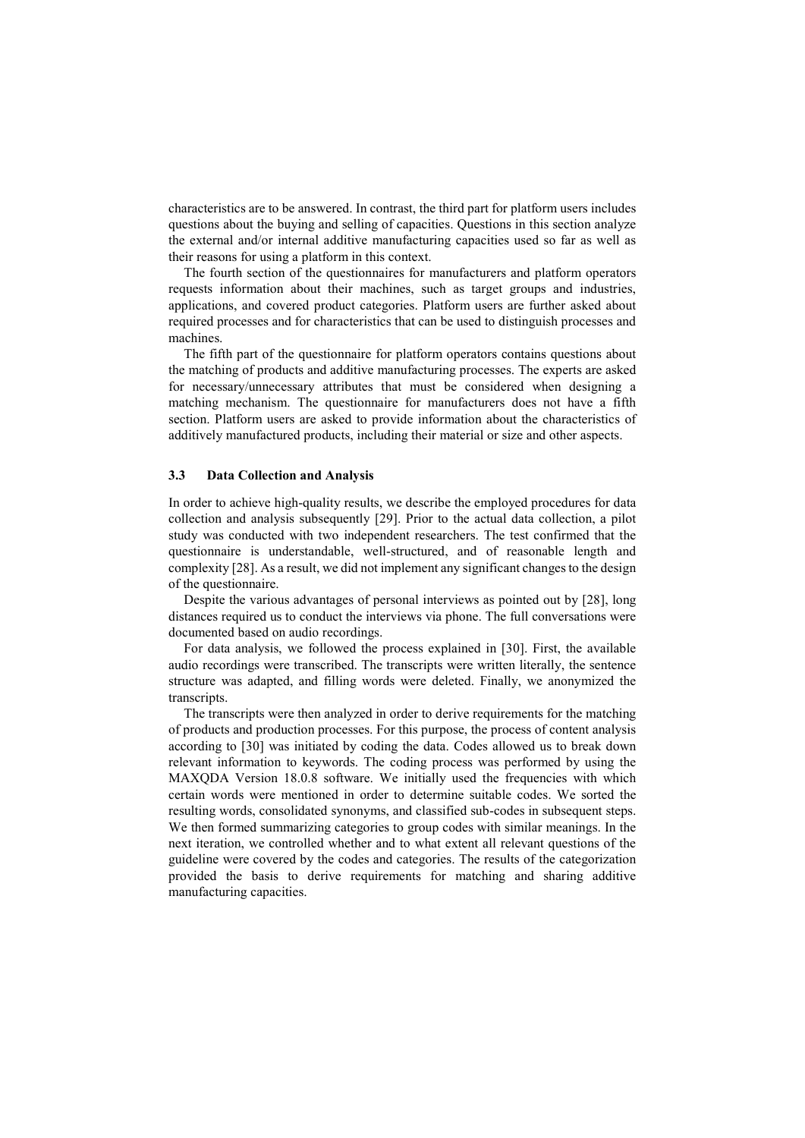characteristics are to be answered. In contrast, the third part for platform users includes questions about the buying and selling of capacities. Questions in this section analyze the external and/or internal additive manufacturing capacities used so far as well as their reasons for using a platform in this context.

The fourth section of the questionnaires for manufacturers and platform operators requests information about their machines, such as target groups and industries, applications, and covered product categories. Platform users are further asked about required processes and for characteristics that can be used to distinguish processes and machines.

The fifth part of the questionnaire for platform operators contains questions about the matching of products and additive manufacturing processes. The experts are asked for necessary/unnecessary attributes that must be considered when designing a matching mechanism. The questionnaire for manufacturers does not have a fifth section. Platform users are asked to provide information about the characteristics of additively manufactured products, including their material or size and other aspects.

#### 3.3 Data Collection and Analysis

In order to achieve high-quality results, we describe the employed procedures for data collection and analysis subsequently [29]. Prior to the actual data collection, a pilot study was conducted with two independent researchers. The test confirmed that the questionnaire is understandable, well-structured, and of reasonable length and complexity [28]. As a result, we did not implement any significant changes to the design of the questionnaire.

Despite the various advantages of personal interviews as pointed out by [28], long distances required us to conduct the interviews via phone. The full conversations were documented based on audio recordings.

For data analysis, we followed the process explained in [30]. First, the available audio recordings were transcribed. The transcripts were written literally, the sentence structure was adapted, and filling words were deleted. Finally, we anonymized the transcripts.

The transcripts were then analyzed in order to derive requirements for the matching of products and production processes. For this purpose, the process of content analysis according to [30] was initiated by coding the data. Codes allowed us to break down relevant information to keywords. The coding process was performed by using the MAXQDA Version 18.0.8 software. We initially used the frequencies with which certain words were mentioned in order to determine suitable codes. We sorted the resulting words, consolidated synonyms, and classified sub-codes in subsequent steps. We then formed summarizing categories to group codes with similar meanings. In the next iteration, we controlled whether and to what extent all relevant questions of the guideline were covered by the codes and categories. The results of the categorization provided the basis to derive requirements for matching and sharing additive manufacturing capacities.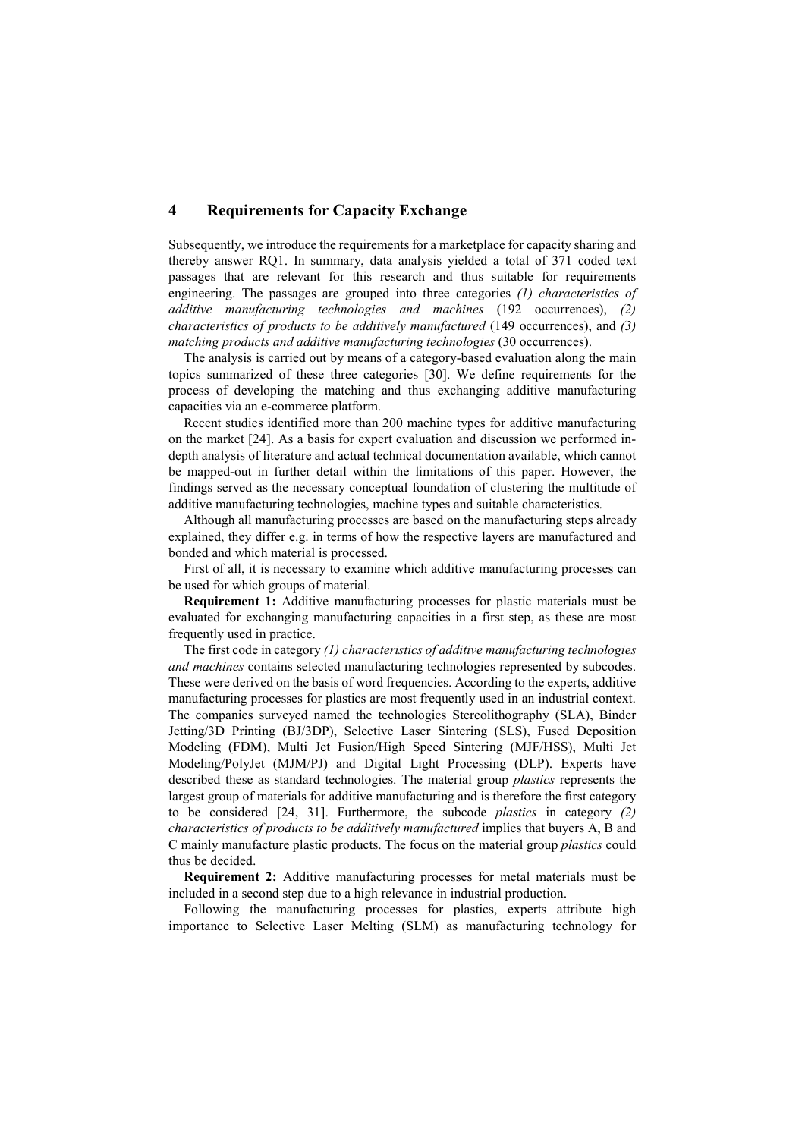# 4 Requirements for Capacity Exchange

Subsequently, we introduce the requirements for a marketplace for capacity sharing and thereby answer RQ1. In summary, data analysis yielded a total of 371 coded text passages that are relevant for this research and thus suitable for requirements engineering. The passages are grouped into three categories (1) characteristics of additive manufacturing technologies and machines (192 occurrences), (2) characteristics of products to be additively manufactured (149 occurrences), and (3) matching products and additive manufacturing technologies (30 occurrences).

The analysis is carried out by means of a category-based evaluation along the main topics summarized of these three categories [30]. We define requirements for the process of developing the matching and thus exchanging additive manufacturing capacities via an e-commerce platform.

Recent studies identified more than 200 machine types for additive manufacturing on the market [24]. As a basis for expert evaluation and discussion we performed indepth analysis of literature and actual technical documentation available, which cannot be mapped-out in further detail within the limitations of this paper. However, the findings served as the necessary conceptual foundation of clustering the multitude of additive manufacturing technologies, machine types and suitable characteristics.

Although all manufacturing processes are based on the manufacturing steps already explained, they differ e.g. in terms of how the respective layers are manufactured and bonded and which material is processed.

First of all, it is necessary to examine which additive manufacturing processes can be used for which groups of material.

Requirement 1: Additive manufacturing processes for plastic materials must be evaluated for exchanging manufacturing capacities in a first step, as these are most frequently used in practice.

The first code in category  $(1)$  characteristics of additive manufacturing technologies and machines contains selected manufacturing technologies represented by subcodes. These were derived on the basis of word frequencies. According to the experts, additive manufacturing processes for plastics are most frequently used in an industrial context. The companies surveyed named the technologies Stereolithography (SLA), Binder Jetting/3D Printing (BJ/3DP), Selective Laser Sintering (SLS), Fused Deposition Modeling (FDM), Multi Jet Fusion/High Speed Sintering (MJF/HSS), Multi Jet Modeling/PolyJet (MJM/PJ) and Digital Light Processing (DLP). Experts have described these as standard technologies. The material group plastics represents the largest group of materials for additive manufacturing and is therefore the first category to be considered [24, 31]. Furthermore, the subcode plastics in category (2) characteristics of products to be additively manufactured implies that buyers A, B and C mainly manufacture plastic products. The focus on the material group plastics could thus be decided.

Requirement 2: Additive manufacturing processes for metal materials must be included in a second step due to a high relevance in industrial production.

Following the manufacturing processes for plastics, experts attribute high importance to Selective Laser Melting (SLM) as manufacturing technology for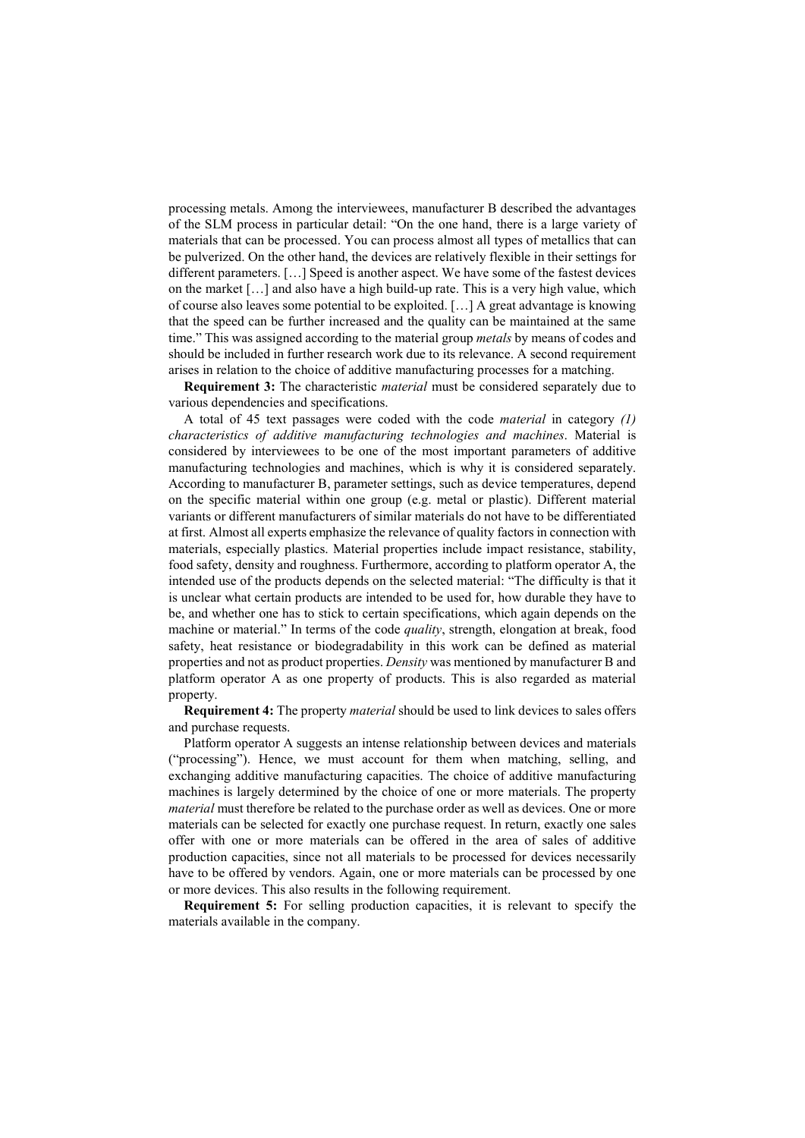processing metals. Among the interviewees, manufacturer B described the advantages of the SLM process in particular detail: "On the one hand, there is a large variety of materials that can be processed. You can process almost all types of metallics that can be pulverized. On the other hand, the devices are relatively flexible in their settings for different parameters. […] Speed is another aspect. We have some of the fastest devices on the market […] and also have a high build-up rate. This is a very high value, which of course also leaves some potential to be exploited. […] A great advantage is knowing that the speed can be further increased and the quality can be maintained at the same time." This was assigned according to the material group *metals* by means of codes and should be included in further research work due to its relevance. A second requirement arises in relation to the choice of additive manufacturing processes for a matching.

**Requirement 3:** The characteristic *material* must be considered separately due to various dependencies and specifications.

A total of 45 text passages were coded with the code material in category (1) characteristics of additive manufacturing technologies and machines. Material is considered by interviewees to be one of the most important parameters of additive manufacturing technologies and machines, which is why it is considered separately. According to manufacturer B, parameter settings, such as device temperatures, depend on the specific material within one group (e.g. metal or plastic). Different material variants or different manufacturers of similar materials do not have to be differentiated at first. Almost all experts emphasize the relevance of quality factors in connection with materials, especially plastics. Material properties include impact resistance, stability, food safety, density and roughness. Furthermore, according to platform operator A, the intended use of the products depends on the selected material: "The difficulty is that it is unclear what certain products are intended to be used for, how durable they have to be, and whether one has to stick to certain specifications, which again depends on the machine or material." In terms of the code *quality*, strength, elongation at break, food safety, heat resistance or biodegradability in this work can be defined as material properties and not as product properties. Density was mentioned by manufacturer B and platform operator A as one property of products. This is also regarded as material property.

Requirement 4: The property material should be used to link devices to sales offers and purchase requests.

Platform operator A suggests an intense relationship between devices and materials ("processing"). Hence, we must account for them when matching, selling, and exchanging additive manufacturing capacities. The choice of additive manufacturing machines is largely determined by the choice of one or more materials. The property material must therefore be related to the purchase order as well as devices. One or more materials can be selected for exactly one purchase request. In return, exactly one sales offer with one or more materials can be offered in the area of sales of additive production capacities, since not all materials to be processed for devices necessarily have to be offered by vendors. Again, one or more materials can be processed by one or more devices. This also results in the following requirement.

Requirement 5: For selling production capacities, it is relevant to specify the materials available in the company.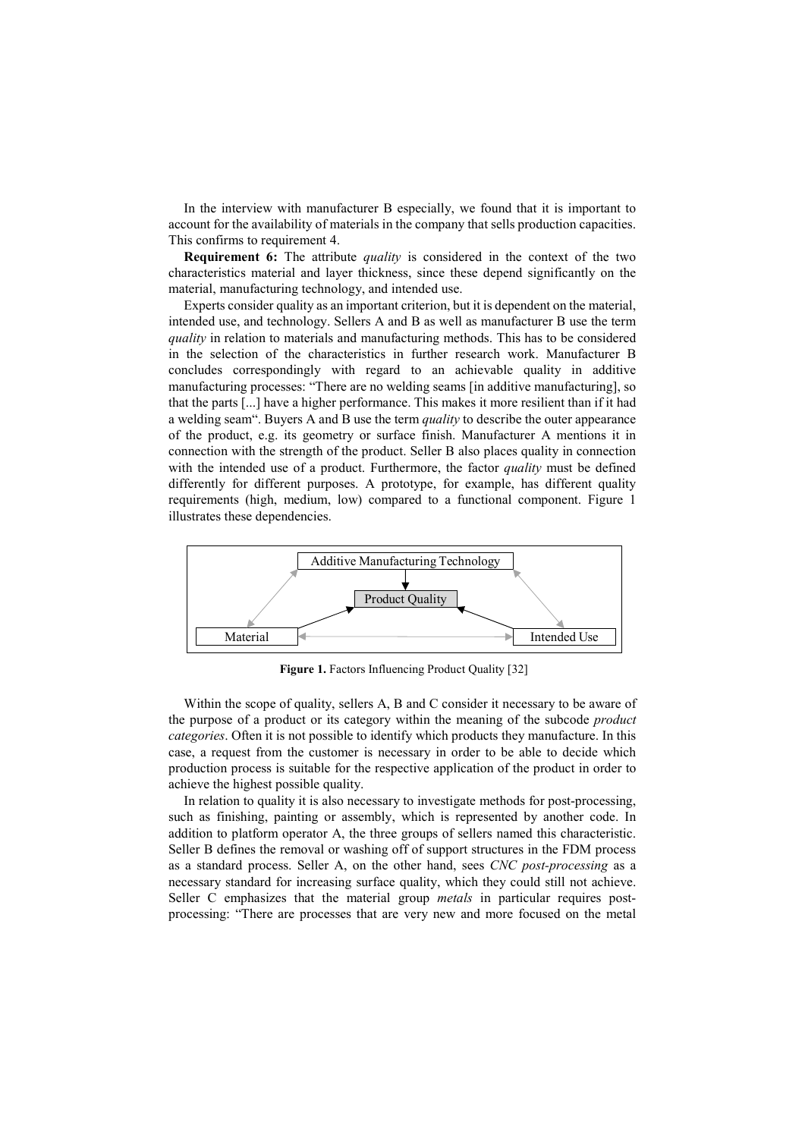In the interview with manufacturer B especially, we found that it is important to account for the availability of materials in the company that sells production capacities. This confirms to requirement 4.

Requirement 6: The attribute quality is considered in the context of the two characteristics material and layer thickness, since these depend significantly on the material, manufacturing technology, and intended use.

Experts consider quality as an important criterion, but it is dependent on the material, intended use, and technology. Sellers A and B as well as manufacturer B use the term quality in relation to materials and manufacturing methods. This has to be considered in the selection of the characteristics in further research work. Manufacturer B concludes correspondingly with regard to an achievable quality in additive manufacturing processes: "There are no welding seams [in additive manufacturing], so that the parts [...] have a higher performance. This makes it more resilient than if it had a welding seam". Buyers A and B use the term *quality* to describe the outer appearance of the product, e.g. its geometry or surface finish. Manufacturer A mentions it in connection with the strength of the product. Seller B also places quality in connection with the intended use of a product. Furthermore, the factor *quality* must be defined differently for different purposes. A prototype, for example, has different quality requirements (high, medium, low) compared to a functional component. Figure 1 illustrates these dependencies.



Figure 1. Factors Influencing Product Quality [32]

Within the scope of quality, sellers A, B and C consider it necessary to be aware of the purpose of a product or its category within the meaning of the subcode product categories. Often it is not possible to identify which products they manufacture. In this case, a request from the customer is necessary in order to be able to decide which production process is suitable for the respective application of the product in order to achieve the highest possible quality.

In relation to quality it is also necessary to investigate methods for post-processing, such as finishing, painting or assembly, which is represented by another code. In addition to platform operator A, the three groups of sellers named this characteristic. Seller B defines the removal or washing off of support structures in the FDM process as a standard process. Seller A, on the other hand, sees CNC post-processing as a necessary standard for increasing surface quality, which they could still not achieve. Seller C emphasizes that the material group metals in particular requires postprocessing: "There are processes that are very new and more focused on the metal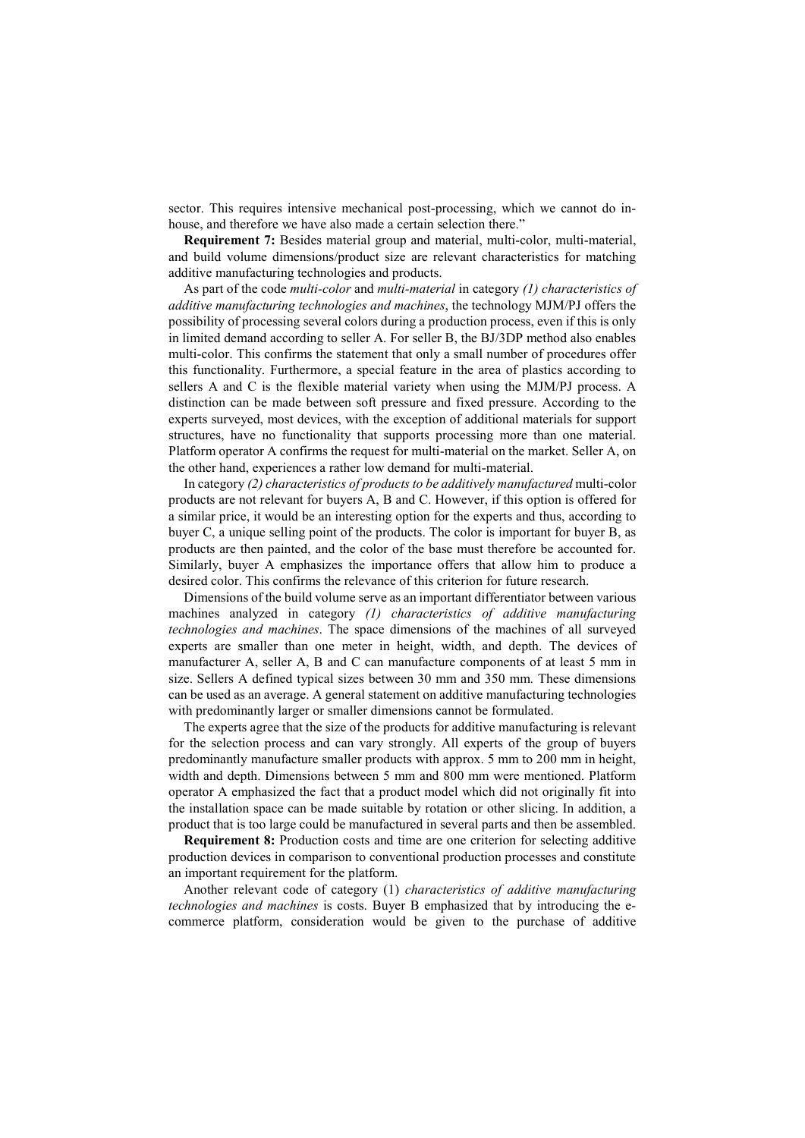sector. This requires intensive mechanical post-processing, which we cannot do inhouse, and therefore we have also made a certain selection there."

Requirement 7: Besides material group and material, multi-color, multi-material, and build volume dimensions/product size are relevant characteristics for matching additive manufacturing technologies and products.

As part of the code multi-color and multi-material in category (1) characteristics of additive manufacturing technologies and machines, the technology MJM/PJ offers the possibility of processing several colors during a production process, even if this is only in limited demand according to seller A. For seller B, the BJ/3DP method also enables multi-color. This confirms the statement that only a small number of procedures offer this functionality. Furthermore, a special feature in the area of plastics according to sellers A and C is the flexible material variety when using the MJM/PJ process. A distinction can be made between soft pressure and fixed pressure. According to the experts surveyed, most devices, with the exception of additional materials for support structures, have no functionality that supports processing more than one material. Platform operator A confirms the request for multi-material on the market. Seller A, on the other hand, experiences a rather low demand for multi-material.

In category (2) characteristics of products to be additively manufactured multi-color products are not relevant for buyers A, B and C. However, if this option is offered for a similar price, it would be an interesting option for the experts and thus, according to buyer C, a unique selling point of the products. The color is important for buyer B, as products are then painted, and the color of the base must therefore be accounted for. Similarly, buyer A emphasizes the importance offers that allow him to produce a desired color. This confirms the relevance of this criterion for future research.

Dimensions of the build volume serve as an important differentiator between various machines analyzed in category (1) characteristics of additive manufacturing technologies and machines. The space dimensions of the machines of all surveyed experts are smaller than one meter in height, width, and depth. The devices of manufacturer A, seller A, B and C can manufacture components of at least 5 mm in size. Sellers A defined typical sizes between 30 mm and 350 mm. These dimensions can be used as an average. A general statement on additive manufacturing technologies with predominantly larger or smaller dimensions cannot be formulated.

The experts agree that the size of the products for additive manufacturing is relevant for the selection process and can vary strongly. All experts of the group of buyers predominantly manufacture smaller products with approx. 5 mm to 200 mm in height, width and depth. Dimensions between 5 mm and 800 mm were mentioned. Platform operator A emphasized the fact that a product model which did not originally fit into the installation space can be made suitable by rotation or other slicing. In addition, a product that is too large could be manufactured in several parts and then be assembled.

Requirement 8: Production costs and time are one criterion for selecting additive production devices in comparison to conventional production processes and constitute an important requirement for the platform.

Another relevant code of category (1) characteristics of additive manufacturing technologies and machines is costs. Buyer B emphasized that by introducing the ecommerce platform, consideration would be given to the purchase of additive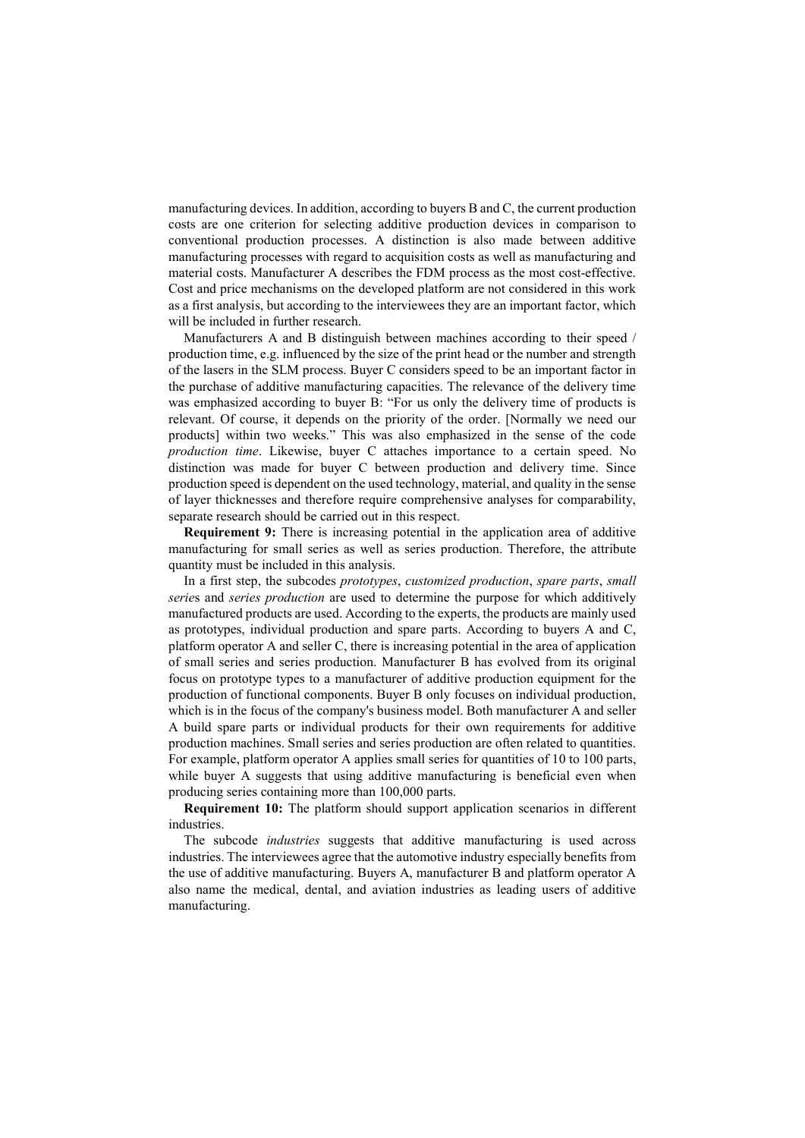manufacturing devices. In addition, according to buyers B and C, the current production costs are one criterion for selecting additive production devices in comparison to conventional production processes. A distinction is also made between additive manufacturing processes with regard to acquisition costs as well as manufacturing and material costs. Manufacturer A describes the FDM process as the most cost-effective. Cost and price mechanisms on the developed platform are not considered in this work as a first analysis, but according to the interviewees they are an important factor, which will be included in further research.

Manufacturers A and B distinguish between machines according to their speed / production time, e.g. influenced by the size of the print head or the number and strength of the lasers in the SLM process. Buyer C considers speed to be an important factor in the purchase of additive manufacturing capacities. The relevance of the delivery time was emphasized according to buyer B: "For us only the delivery time of products is relevant. Of course, it depends on the priority of the order. [Normally we need our products] within two weeks." This was also emphasized in the sense of the code production time. Likewise, buyer C attaches importance to a certain speed. No distinction was made for buyer C between production and delivery time. Since production speed is dependent on the used technology, material, and quality in the sense of layer thicknesses and therefore require comprehensive analyses for comparability, separate research should be carried out in this respect.

Requirement 9: There is increasing potential in the application area of additive manufacturing for small series as well as series production. Therefore, the attribute quantity must be included in this analysis.

In a first step, the subcodes prototypes, customized production, spare parts, small series and series production are used to determine the purpose for which additively manufactured products are used. According to the experts, the products are mainly used as prototypes, individual production and spare parts. According to buyers A and C, platform operator A and seller C, there is increasing potential in the area of application of small series and series production. Manufacturer B has evolved from its original focus on prototype types to a manufacturer of additive production equipment for the production of functional components. Buyer B only focuses on individual production, which is in the focus of the company's business model. Both manufacturer A and seller A build spare parts or individual products for their own requirements for additive production machines. Small series and series production are often related to quantities. For example, platform operator A applies small series for quantities of 10 to 100 parts, while buyer A suggests that using additive manufacturing is beneficial even when producing series containing more than 100,000 parts.

Requirement 10: The platform should support application scenarios in different industries.

The subcode *industries* suggests that additive manufacturing is used across industries. The interviewees agree that the automotive industry especially benefits from the use of additive manufacturing. Buyers A, manufacturer B and platform operator A also name the medical, dental, and aviation industries as leading users of additive manufacturing.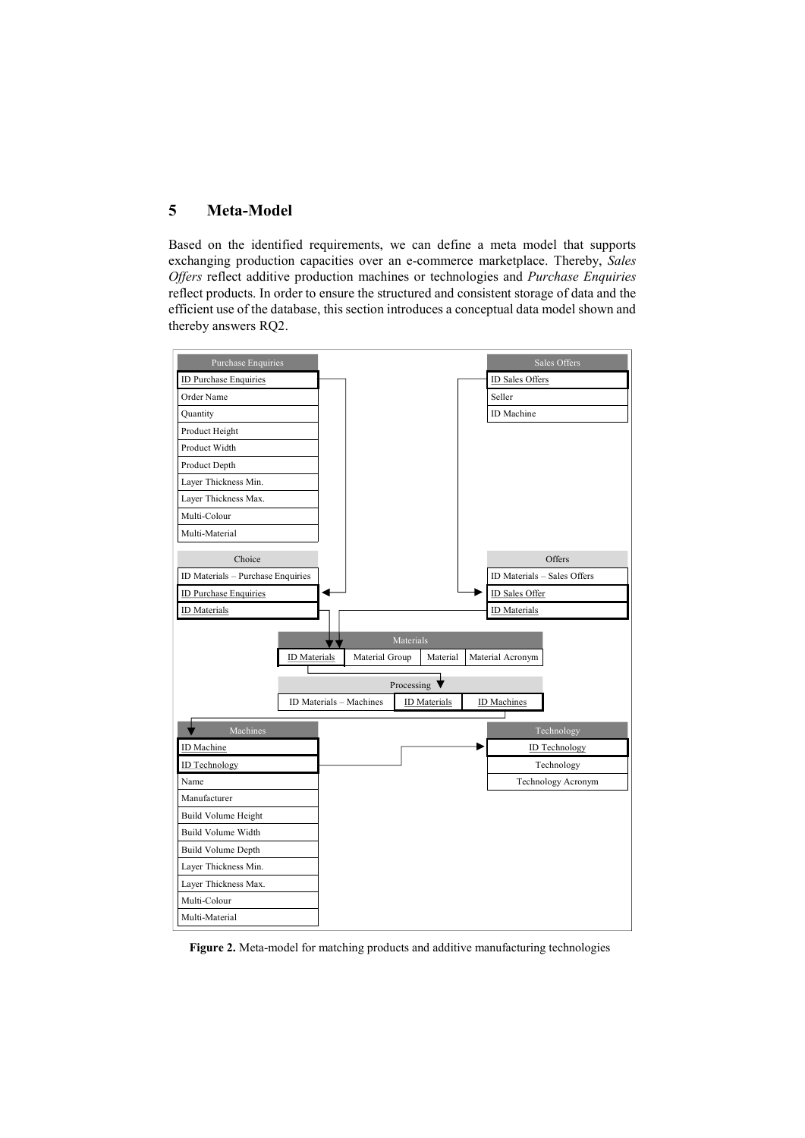# 5 Meta-Model

Based on the identified requirements, we can define a meta model that supports exchanging production capacities over an e-commerce marketplace. Thereby, Sales Offers reflect additive production machines or technologies and Purchase Enquiries reflect products. In order to ensure the structured and consistent storage of data and the efficient use of the database, this section introduces a conceptual data model shown and thereby answers RQ2.



Figure 2. Meta-model for matching products and additive manufacturing technologies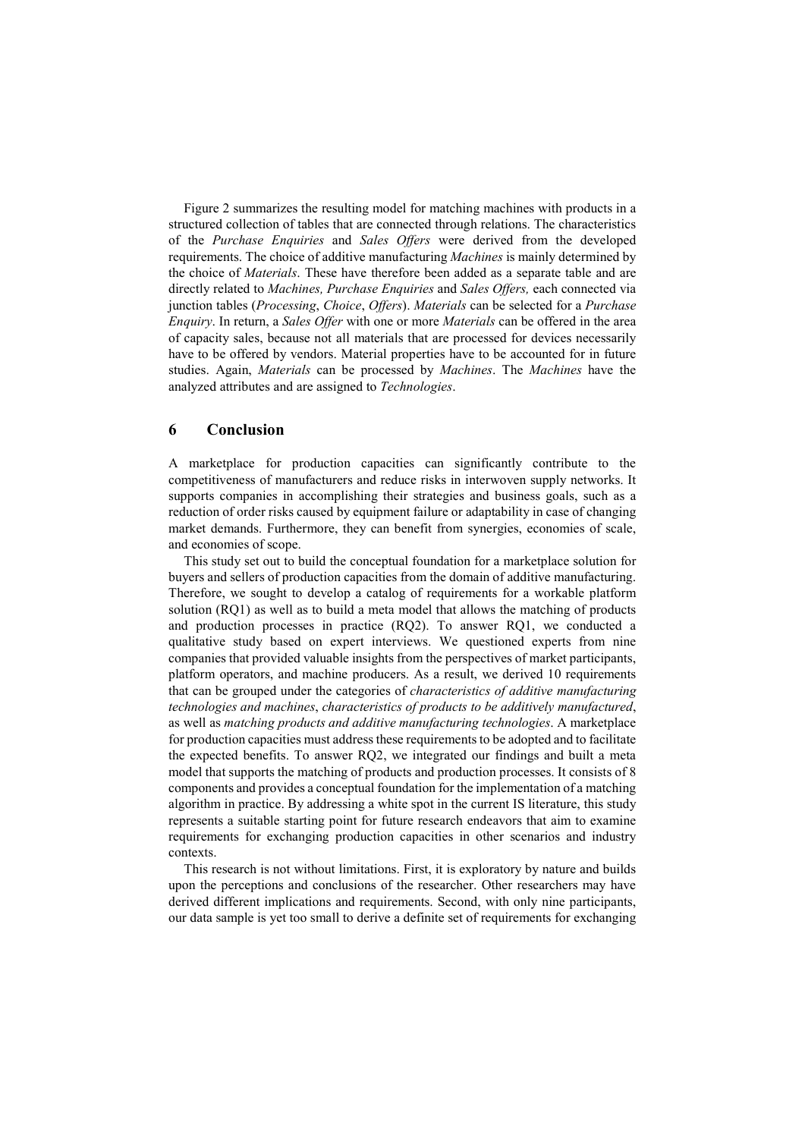Figure 2 summarizes the resulting model for matching machines with products in a structured collection of tables that are connected through relations. The characteristics of the Purchase Enquiries and Sales Offers were derived from the developed requirements. The choice of additive manufacturing Machines is mainly determined by the choice of Materials. These have therefore been added as a separate table and are directly related to Machines, Purchase Enquiries and Sales Offers, each connected via junction tables (*Processing, Choice, Offers*). Materials can be selected for a *Purchase* Enquiry. In return, a Sales Offer with one or more Materials can be offered in the area of capacity sales, because not all materials that are processed for devices necessarily have to be offered by vendors. Material properties have to be accounted for in future studies. Again, Materials can be processed by Machines. The Machines have the analyzed attributes and are assigned to Technologies.

## 6 Conclusion

A marketplace for production capacities can significantly contribute to the competitiveness of manufacturers and reduce risks in interwoven supply networks. It supports companies in accomplishing their strategies and business goals, such as a reduction of order risks caused by equipment failure or adaptability in case of changing market demands. Furthermore, they can benefit from synergies, economies of scale, and economies of scope.

This study set out to build the conceptual foundation for a marketplace solution for buyers and sellers of production capacities from the domain of additive manufacturing. Therefore, we sought to develop a catalog of requirements for a workable platform solution (RQ1) as well as to build a meta model that allows the matching of products and production processes in practice (RQ2). To answer RQ1, we conducted a qualitative study based on expert interviews. We questioned experts from nine companies that provided valuable insights from the perspectives of market participants, platform operators, and machine producers. As a result, we derived 10 requirements that can be grouped under the categories of characteristics of additive manufacturing technologies and machines, characteristics of products to be additively manufactured, as well as matching products and additive manufacturing technologies. A marketplace for production capacities must address these requirements to be adopted and to facilitate the expected benefits. To answer RQ2, we integrated our findings and built a meta model that supports the matching of products and production processes. It consists of 8 components and provides a conceptual foundation for the implementation of a matching algorithm in practice. By addressing a white spot in the current IS literature, this study represents a suitable starting point for future research endeavors that aim to examine requirements for exchanging production capacities in other scenarios and industry contexts.

This research is not without limitations. First, it is exploratory by nature and builds upon the perceptions and conclusions of the researcher. Other researchers may have derived different implications and requirements. Second, with only nine participants, our data sample is yet too small to derive a definite set of requirements for exchanging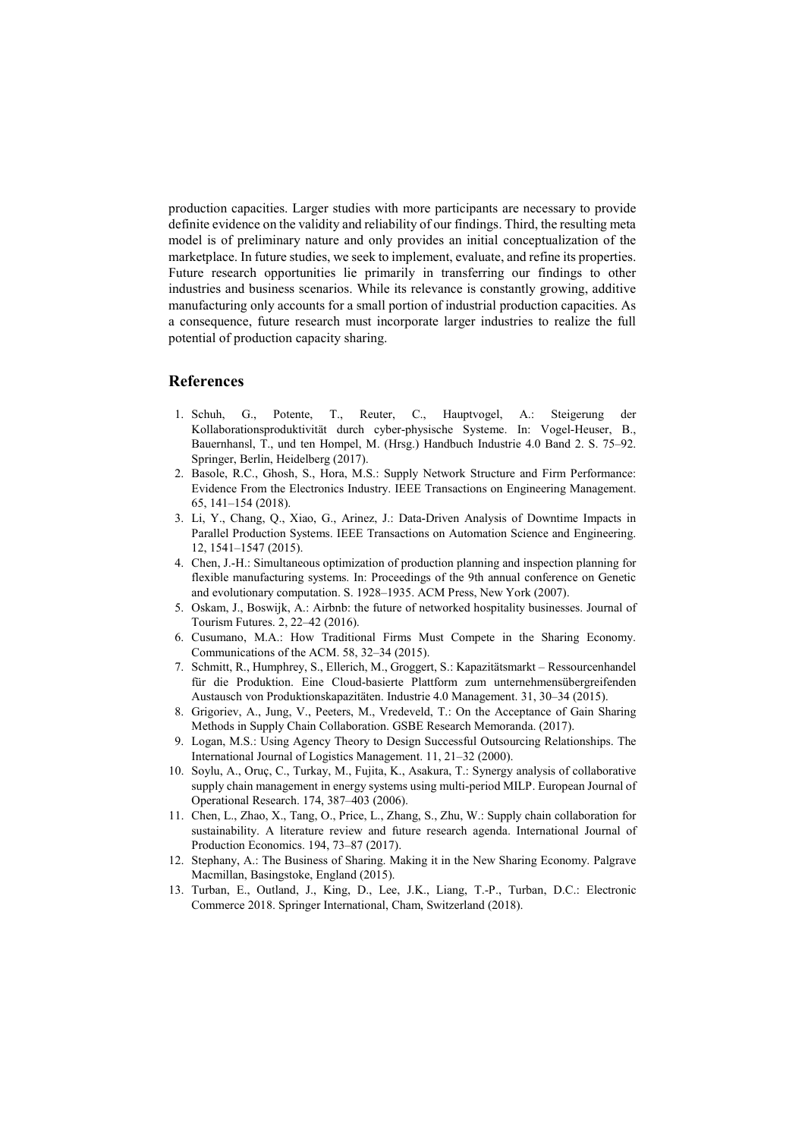production capacities. Larger studies with more participants are necessary to provide definite evidence on the validity and reliability of our findings. Third, the resulting meta model is of preliminary nature and only provides an initial conceptualization of the marketplace. In future studies, we seek to implement, evaluate, and refine its properties. Future research opportunities lie primarily in transferring our findings to other industries and business scenarios. While its relevance is constantly growing, additive manufacturing only accounts for a small portion of industrial production capacities. As a consequence, future research must incorporate larger industries to realize the full potential of production capacity sharing.

## References

- 1. Schuh, G., Potente, T., Reuter, C., Hauptvogel, A.: Steigerung der Kollaborationsproduktivität durch cyber-physische Systeme. In: Vogel-Heuser, B., Bauernhansl, T., und ten Hompel, M. (Hrsg.) Handbuch Industrie 4.0 Band 2. S. 75–92. Springer, Berlin, Heidelberg (2017).
- 2. Basole, R.C., Ghosh, S., Hora, M.S.: Supply Network Structure and Firm Performance: Evidence From the Electronics Industry. IEEE Transactions on Engineering Management. 65, 141–154 (2018).
- 3. Li, Y., Chang, Q., Xiao, G., Arinez, J.: Data-Driven Analysis of Downtime Impacts in Parallel Production Systems. IEEE Transactions on Automation Science and Engineering. 12, 1541–1547 (2015).
- 4. Chen, J.-H.: Simultaneous optimization of production planning and inspection planning for flexible manufacturing systems. In: Proceedings of the 9th annual conference on Genetic and evolutionary computation. S. 1928–1935. ACM Press, New York (2007).
- 5. Oskam, J., Boswijk, A.: Airbnb: the future of networked hospitality businesses. Journal of Tourism Futures. 2, 22–42 (2016).
- 6. Cusumano, M.A.: How Traditional Firms Must Compete in the Sharing Economy. Communications of the ACM. 58, 32–34 (2015).
- 7. Schmitt, R., Humphrey, S., Ellerich, M., Groggert, S.: Kapazitätsmarkt Ressourcenhandel für die Produktion. Eine Cloud-basierte Plattform zum unternehmensübergreifenden Austausch von Produktionskapazitäten. Industrie 4.0 Management. 31, 30–34 (2015).
- 8. Grigoriev, A., Jung, V., Peeters, M., Vredeveld, T.: On the Acceptance of Gain Sharing Methods in Supply Chain Collaboration. GSBE Research Memoranda. (2017).
- 9. Logan, M.S.: Using Agency Theory to Design Successful Outsourcing Relationships. The International Journal of Logistics Management. 11, 21–32 (2000).
- 10. Soylu, A., Oruç, C., Turkay, M., Fujita, K., Asakura, T.: Synergy analysis of collaborative supply chain management in energy systems using multi-period MILP. European Journal of Operational Research. 174, 387–403 (2006).
- 11. Chen, L., Zhao, X., Tang, O., Price, L., Zhang, S., Zhu, W.: Supply chain collaboration for sustainability. A literature review and future research agenda. International Journal of Production Economics. 194, 73–87 (2017).
- 12. Stephany, A.: The Business of Sharing. Making it in the New Sharing Economy. Palgrave Macmillan, Basingstoke, England (2015).
- 13. Turban, E., Outland, J., King, D., Lee, J.K., Liang, T.-P., Turban, D.C.: Electronic Commerce 2018. Springer International, Cham, Switzerland (2018).